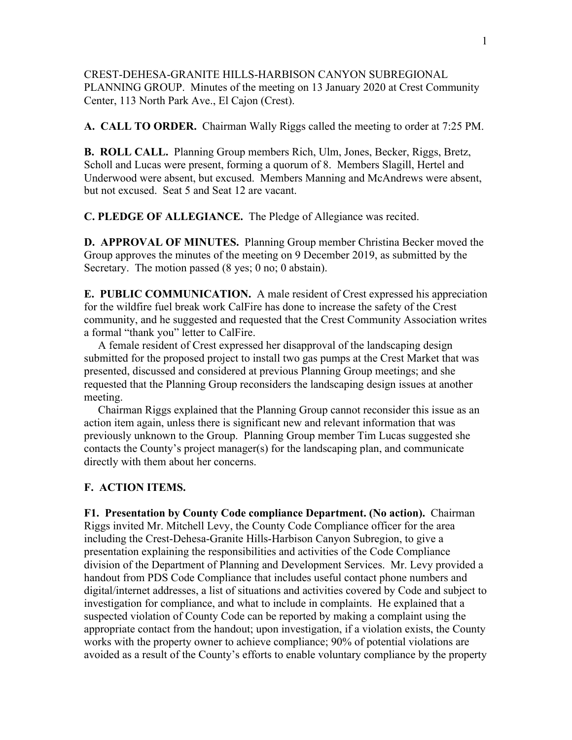CREST-DEHESA-GRANITE HILLS-HARBISON CANYON SUBREGIONAL PLANNING GROUP. Minutes of the meeting on 13 January 2020 at Crest Community Center, 113 North Park Ave., El Cajon (Crest).

**A. CALL TO ORDER.** Chairman Wally Riggs called the meeting to order at 7:25 PM.

**B. ROLL CALL.** Planning Group members Rich, Ulm, Jones, Becker, Riggs, Bretz, Scholl and Lucas were present, forming a quorum of 8. Members Slagill, Hertel and Underwood were absent, but excused. Members Manning and McAndrews were absent, but not excused. Seat 5 and Seat 12 are vacant.

**C. PLEDGE OF ALLEGIANCE.** The Pledge of Allegiance was recited.

**D. APPROVAL OF MINUTES.** Planning Group member Christina Becker moved the Group approves the minutes of the meeting on 9 December 2019, as submitted by the Secretary. The motion passed (8 yes; 0 no; 0 abstain).

**E. PUBLIC COMMUNICATION.** A male resident of Crest expressed his appreciation for the wildfire fuel break work CalFire has done to increase the safety of the Crest community, and he suggested and requested that the Crest Community Association writes a formal "thank you" letter to CalFire.

 A female resident of Crest expressed her disapproval of the landscaping design submitted for the proposed project to install two gas pumps at the Crest Market that was presented, discussed and considered at previous Planning Group meetings; and she requested that the Planning Group reconsiders the landscaping design issues at another meeting.

 Chairman Riggs explained that the Planning Group cannot reconsider this issue as an action item again, unless there is significant new and relevant information that was previously unknown to the Group. Planning Group member Tim Lucas suggested she contacts the County's project manager(s) for the landscaping plan, and communicate directly with them about her concerns.

## **F. ACTION ITEMS.**

**F1. Presentation by County Code compliance Department. (No action).** Chairman Riggs invited Mr. Mitchell Levy, the County Code Compliance officer for the area including the Crest-Dehesa-Granite Hills-Harbison Canyon Subregion, to give a presentation explaining the responsibilities and activities of the Code Compliance division of the Department of Planning and Development Services. Mr. Levy provided a handout from PDS Code Compliance that includes useful contact phone numbers and digital/internet addresses, a list of situations and activities covered by Code and subject to investigation for compliance, and what to include in complaints. He explained that a suspected violation of County Code can be reported by making a complaint using the appropriate contact from the handout; upon investigation, if a violation exists, the County works with the property owner to achieve compliance; 90% of potential violations are avoided as a result of the County's efforts to enable voluntary compliance by the property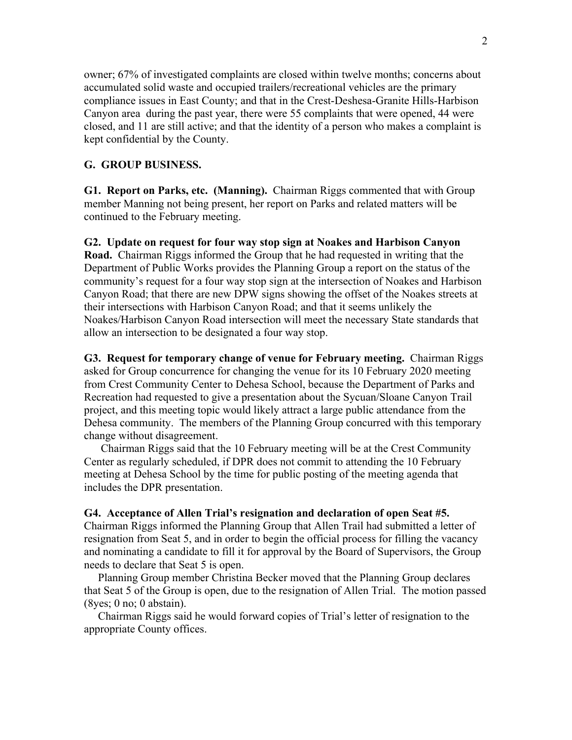owner; 67% of investigated complaints are closed within twelve months; concerns about accumulated solid waste and occupied trailers/recreational vehicles are the primary compliance issues in East County; and that in the Crest-Deshesa-Granite Hills-Harbison Canyon area during the past year, there were 55 complaints that were opened, 44 were closed, and 11 are still active; and that the identity of a person who makes a complaint is kept confidential by the County.

## **G. GROUP BUSINESS.**

**G1. Report on Parks, etc. (Manning).** Chairman Riggs commented that with Group member Manning not being present, her report on Parks and related matters will be continued to the February meeting.

## **G2. Update on request for four way stop sign at Noakes and Harbison Canyon Road.** Chairman Riggs informed the Group that he had requested in writing that the

Department of Public Works provides the Planning Group a report on the status of the community's request for a four way stop sign at the intersection of Noakes and Harbison Canyon Road; that there are new DPW signs showing the offset of the Noakes streets at their intersections with Harbison Canyon Road; and that it seems unlikely the Noakes/Harbison Canyon Road intersection will meet the necessary State standards that allow an intersection to be designated a four way stop.

**G3. Request for temporary change of venue for February meeting.** Chairman Riggs asked for Group concurrence for changing the venue for its 10 February 2020 meeting from Crest Community Center to Dehesa School, because the Department of Parks and Recreation had requested to give a presentation about the Sycuan/Sloane Canyon Trail project, and this meeting topic would likely attract a large public attendance from the Dehesa community. The members of the Planning Group concurred with this temporary change without disagreement.

 Chairman Riggs said that the 10 February meeting will be at the Crest Community Center as regularly scheduled, if DPR does not commit to attending the 10 February meeting at Dehesa School by the time for public posting of the meeting agenda that includes the DPR presentation.

## **G4. Acceptance of Allen Trial's resignation and declaration of open Seat #5.**

Chairman Riggs informed the Planning Group that Allen Trail had submitted a letter of resignation from Seat 5, and in order to begin the official process for filling the vacancy and nominating a candidate to fill it for approval by the Board of Supervisors, the Group needs to declare that Seat 5 is open.

 Planning Group member Christina Becker moved that the Planning Group declares that Seat 5 of the Group is open, due to the resignation of Allen Trial. The motion passed (8yes; 0 no; 0 abstain).

 Chairman Riggs said he would forward copies of Trial's letter of resignation to the appropriate County offices.